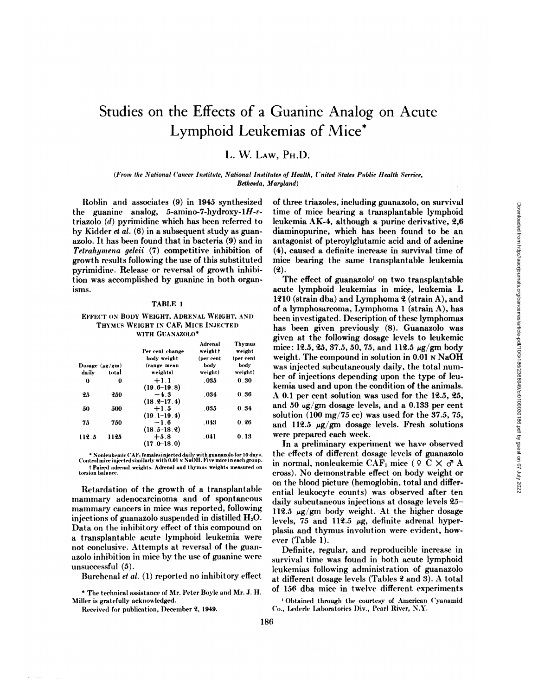# Studies on the Effects of a Guanine Analog on Acute Lymphoid Leukemias of Mice\*

## L. W. LAW, PH.D.

## (From the National Cancer Institute, National Institutes of Health, United States Public Health Serrice, Bethesda, Maryland)

Roblin and associates (9) in 1945 synthesized the guanine analog, 5-amino-7-hydroxy-1 $H$ -vtriazolo  $(d)$  pyrimidine which has been referred to by Kidder et al. (6) in a subsequent study as guanazolo. It has been found that in bacteria (9) and in Tetrahymena geleii (7) competitive inhibition of growth results following the use of this substituted pyrimidine. Release or reversal of growth inhibition was accomplished by guanine in both organisms.

#### TABLE 1

#### EFFECT ON BODY WEIGHT, ADRENAL WEIGHT, AND THYMUS WEIGHT IN CAF<sub>1</sub> MICE INJECTED WITH GUANAZOLO\*

|                     |       | Per cent change           | Adrenal<br>weightt | <b>Thymus</b><br>weight |
|---------------------|-------|---------------------------|--------------------|-------------------------|
|                     |       | body weight               | (per cent          | (per cent               |
| Dosage $(\mu g/gm)$ |       | (range mean               | body               | body                    |
| daily               | total | weights)                  | weight)            | weight)                 |
| 0                   | 0     | $+1.1$<br>$(19.6 - 19.8)$ | . 035              | 0.30                    |
| 25                  | 250   | $-4.3$<br>$(18.2 - 17.4)$ | . 034              | 0.36                    |
| 50                  | 500   | $+1.5$<br>$(19.1 - 19.4)$ | . 035              | 0.34                    |
| 75                  | 750   | $-1.6$<br>$(18.5 - 18.9)$ | .043               | 0.26                    |
| 112.5               | 1125  | $+5.8$<br>(17 0–18 0)     | .041               | 0.13                    |

\* Nonleukemic CAF1 females injected daily with guanazolo for 10 days.<br>Control mice injected similarly with 0.01 N NaOH. Five mice in each group. t Paired adrenal weights. Adrenal and thymus weights measured on

Retardation of the growth of a transplantable mammary adenocarcinoma and of spontaneous mammary cancers in mice was reported, following injections of guanazolo suspended in distilled  $H_2O$ . Data on the inhibitory effect of this compound on a transplantable acute lymphoid leukemia were not conclusive. Attempts at reversal of the guanazolo inhibition in mice by the use of guanine were unsuccessful (5).

Burchenal et al. (1) reported no inhibitory effect

\* The technical assistance of Mr. Peter Boyle and Mr. J. H. Miller is gratefully acknowledged.

Received for publication, December 2, 1949.

of three triazoles, including guanazolo, on survival time of mice bearing a transplantable lymphoid leukemia AK-4, although a purine derivative, 2,6 diaminopurine, which has been found to be an antagonist of pteroylglutamic acid and of adenine (4), caused a definite increase in survival time of mice bearing the same transplantable leukemia  $(2).$ 

The effect of guanazolo<sup>1</sup> on two transplantable acute lymphoid leukemias in mice, leukemia L 1210 (strain dba) and Lymphoma 2 (strain A), and of a lymphosarcoma, Lymphoma 1 (strain A), has been investigated. Description of these lymphomas has been given previously (8). Guanazolo was given at the following dosage levels to leukemic mice: 12.5, 25, 37.5, 50, 75, and 112.5 µg/gm body weight. The compound in solution in 0.01 N NaOH was injected subcutaneously daily, the total number of injections depending upon the type of leukemia used and upon the condition of the animals. A 0.1 per cent solution was used for the 12.5, 25, and 50 ug/gm dosage levels, and a 0.133 per cent solution (100 mg/75 cc) was used for the 37.5, 75, and 112.5  $\mu$ g/gm dosage levels. Fresh solutions were prepared each week.

In a preliminary experiment we have observed the effects of different dosage levels of guanazolo in normal, nonleukemic CAF<sub>1</sub> mice (9 C  $\times$   $\sigma$  A cross). No demonstrable effect on body weight or on the blood picture (hemoglobin, total and differential leukocyte counts) was observed after ten daily subcutaneous injections at dosage levels 25-112.5  $\mu$ g/gm body weight. At the higher dosage levels, 75 and 112.5  $\mu$ g, definite adrenal hyperplasia and thymus involution were evident, however (Table 1).

Definite, regular, and reproducible increase in survival time was found in both acute lymphoid leukemias following administration of guanazolo at different dosage levels (Tables 2 and 3). A total of 156 dba mice in twelve different experiments

<sup>&</sup>lt;sup>1</sup> Obtained through the courtesy of American Cyanamid Co., Lederle Laboratories Div., Pearl River, N.Y.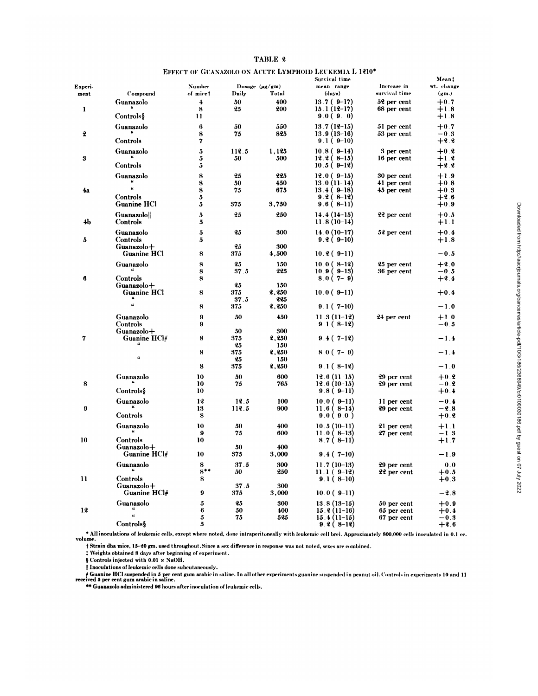|                 |                                  |                     |             |                              | Survival time                  |                              | Meant               |
|-----------------|----------------------------------|---------------------|-------------|------------------------------|--------------------------------|------------------------------|---------------------|
| Experi-<br>ment | Compound                         | Number<br>of micet  | Daily       | Dosage $(\mu g/gm)$<br>Total | mean range<br>(days)           | Increase in<br>survival time | wt. change<br>(gm.) |
| 1               | Guanazolo                        | $\overline{4}$<br>8 | 50<br>25    | 400<br>200                   | $13.7(9-17)$<br>$15.1(12-17)$  | 52 per cent<br>68 per cent   | $+0.7$<br>$+1.8$    |
|                 | Controls§                        | 11                  |             |                              | 9.0(9.0)                       |                              | $+1.8$              |
| 2               | Guanazolo                        | 6<br>8              | 50<br>75    | 550<br>825                   | $13.7(12-15)$<br>13.9 (13–16)  | 51 per cent<br>53 per cent   | $+0.7$<br>$-0.3$    |
|                 | Controls                         | 7                   |             |                              | $9.1(9-10)$                    |                              | $+2.2$              |
| 3               | Guanazolo                        | 5<br>5              | 112.5<br>50 | 1,125<br>500                 | $10.8(9-14)$<br>$12.2(8-15)$   | 3 per cent<br>16 per cent    | $+0.2$<br>$+1.2$    |
|                 | Controls                         | 5                   |             |                              | $10.5(9-12)$                   |                              | $+2.2$              |
|                 | Guanazolo<br>$\pmb{\mu}$         | 8<br>8              | 25<br>50    | 225<br>450                   | $12.0(9-15)$<br>$13.0(11-14)$  | 30 per cent<br>41 per cent   | $+1.9$<br>$+0.8$    |
| 4a              | Controls                         | 8<br>5              | 75          | 675                          | $13.4(9-18)$<br>$9.2(8-12)$    | 45 per cent                  | $+0.3$<br>$+2.6$    |
|                 | Guanine HCl                      | 5                   | 375         | 3,750                        | $9.6(8-11)$                    |                              | $+0.9$              |
| 4b              | <b>Guanazolo</b><br>Controls     | 5<br>5              | 25          | 250                          | $14.4(14-15)$<br>$11.8(10-14)$ | 22 per cent                  | $+0.5$<br>$+1.1$    |
| 5               | Guanazolo<br>Controls            | 5<br>5              | 25          | 300                          | $14.0(10-17)$<br>$9.2(9-10)$   | 52 per cent                  | $+0.4$<br>$+1.8$    |
|                 | Guanazolo+<br><b>Guanine HCl</b> | 8                   | 25<br>375   | 300<br>4,500                 | $10.2(9-11)$                   |                              | $-0.5$              |
|                 | Guanazolo                        | 8                   | 25          | 150                          | $10.0(8-12)$                   | 25 per cent                  | $+2.0$              |
|                 |                                  | 8                   | 37.5        | 225                          | $10.9(9-13)$                   | 36 per cent                  | $-0.5$              |
| 6               | Controls<br>$Guanzolo +$         | 8                   | 25          | 150                          | $8.0(7-9)$                     |                              | $+2.4$              |
|                 | Guanine HCl                      | 8                   | 375         | 2,250                        | $10.0(9-11)$                   |                              | $+0.4$              |
|                 | $\overline{\mathbf{u}}$          | 8                   | 37.5<br>375 | 225<br>2,250                 | $9.1(7-10)$                    |                              | $-1.0$              |
|                 | Guanazolo                        | 9                   | 50          | 450                          | $11.3(11-12)$                  | 24 per cent                  | $+1.0$              |
|                 | Controls                         | 9                   | 50          | 300                          | $9.1(8-12)$                    |                              | $-0.5$              |
| 7               | Guanazolo+<br>Guanine $HCl_{\#}$ | 8                   | 375<br>25   | 2,250<br>150                 | $9.4(7-12)$                    |                              | $-1.4$              |
|                 |                                  | 8                   | 375         | 2,250                        | $8.0(7-9)$                     |                              | $-1.4$              |
|                 | u                                | 8                   | 25<br>375   | 150<br>2,250                 | $9.1(8-12)$                    |                              | $-1.0$              |
|                 |                                  |                     |             |                              |                                |                              |                     |
| 8               | Guanazolo                        | 10<br>10            | 50<br>75    | 600<br>765                   | $12.6(11-15)$<br>$12.6(10-15)$ | 29 per cent<br>29 per cent   | $+0.2$<br>$-0.2$    |
|                 | Controls§                        | 10                  |             |                              | $9.8(9-11)$                    |                              | $+0.4$              |
|                 | Guanazolo                        | 12                  | 12.5        | 100                          | $10.0(9-11)$                   | 11 per cent                  | $-0.4$              |
| 9               | Controls                         | 13<br>8             | 112.5       | 900                          | $11.6(8-14)$<br>9.0(9.0)       | 29 per cent                  | $-2.8$<br>$+0.2$    |
|                 | Guanazolo                        | 10                  | 50          | 400                          | $10.5(10-11)$                  | 21 per cent                  | $+1.1$              |
|                 |                                  | 9                   | 75          | 600                          | $11.0(8-13)$                   | 27 per cent                  | $-1.3$              |
| 10              | Controls<br>Guanazolo+           | 10                  | 50          | 400                          | $8.7(8-11)$                    |                              | $+1.7$              |
|                 | Guanine HCl#                     | 10                  | 375         | 3,000                        | $9.4(7-10)$                    |                              | $-1.9$              |
|                 | Guanazolo<br>ü                   | 8                   | 37 5        | 300                          | $11.7(10-13)$                  | 29 per cent                  | 0.0                 |
|                 |                                  | $8***$              | 50          | 250                          | $11.1(9-12)$                   | 22 per cent                  | $+0.5$              |
| 11              | Controls<br>$Guanazolo +$        | 8                   | 37.5        | 300                          | $9.1(8-10)$                    |                              | $+0.3$              |
|                 | Guanine HCl#                     | 9                   | 375         | 3,000                        | $10.0(9-11)$                   |                              | $-2.8$              |
|                 | Guanazolo                        | 5                   | 25          | 300                          | $13.8(13-15)$                  | 50 per cent                  | $+0.9$              |
| 12              | $\boldsymbol{\mu}$               | 6<br>5              | 50<br>75    | 400<br>525                   | $15.2(11-16)$<br>$15.4(11-15)$ | 65 per cent<br>67 per cent   | $+0.4$<br>$-0.3$    |
|                 | Controls§                        | 5                   |             |                              | $9.2(8-12)$                    |                              | $+2.6$              |

## TABLE 2

## **EFFECT OF GUANAZOLO ON ACUTE LYMPHOID LEUKEMIA L 1210\***

• All inoculations of leukemic cells, except where noted, done intraperitoneally with leukemic cell brei. Approximately 800,000 cells inoculated in 0.1 cc.<br>volume.

† Strain dba mice, 15-20 gm. used throughout. Since a sex difference in response was not noted, sexes are combined.

# Weights obtained 8 days after beginning of experiment.

§ Controls injected with 0.01 N NaOH.

|| Inoculations of leukemic cells done subcutaneously.<br>| 4 Guanine HCl suspended in 5 per cent gum arabic in saline. In all other experiments guanine suspended in peanut oil. Controls in experiments 10 and 11 received 5 pe

\*\* Guanazolo administered 96 hours after inoculation of leukemic cells.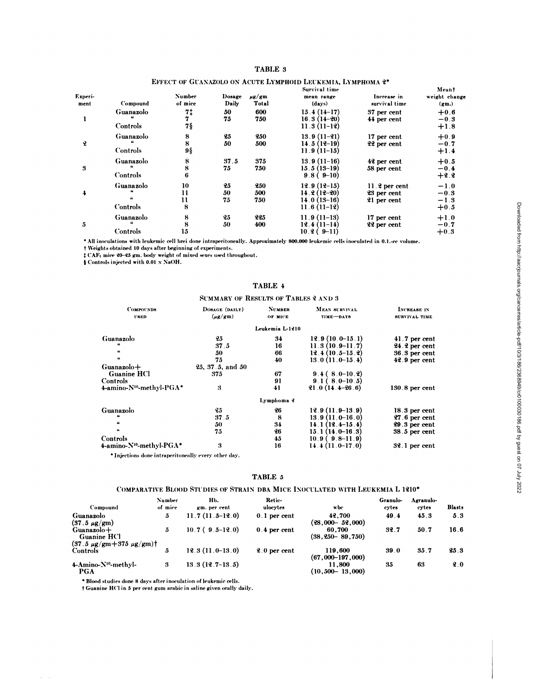## TABLE 3

## EFFECT OF GUANAZOLO ON ACUTE LYMPHOID LEUKEMIA, LYMPHOMA 2\*

|                 |                       |                          |                 |                     | Survival time                                                    |                                               | Meant                                |
|-----------------|-----------------------|--------------------------|-----------------|---------------------|------------------------------------------------------------------|-----------------------------------------------|--------------------------------------|
| Experi-<br>ment | Compound              | <b>Number</b><br>of mice | Dosage<br>Daily | $\mu$ g/gm<br>Total | mean range<br>(days)                                             | Increase in<br>survival time                  | weight change<br>(gm.)               |
|                 | Guanazolo<br>Controls | 7‡<br>7§                 | 50<br>75        | 600<br>750          | $15.4(14-17)$<br>$16.3(14-20)$<br>$11.3(11-12)$                  | 37 per cent<br>44 per cent                    | $+0.6$<br>$-0.3$<br>$+1.8$           |
| q               | Guanazolo<br>Controls | 8<br>8<br>9§             | 25<br>50        | 250<br>500          | $13.9(11-21)$<br>$14.5(12-19)$<br>$11.9(11-15)$                  | 17 per cent<br>22 per cent                    | $+0.9$<br>$-0.7$<br>$+1.4$           |
| 3               | Guanazolo<br>Controls | 8<br>8<br>6              | 37.5<br>75      | 375<br>750          | $13.9(11-16)$<br>$15.5(13-19)$<br>$9.8(9-10)$                    | 42 per cent<br>58 per cent                    | $+0.5$<br>$-0.4$<br>$+2.2$           |
| 4               | Guanazolo<br>Controls | 10<br>11<br>11<br>8      | 25<br>50<br>75  | 250<br>500<br>750   | $12.9(12-15)$<br>$14.2(12-20)$<br>$14.0(13-16)$<br>$11.6(11-12)$ | $11.2$ per cent<br>23 per cent<br>21 per cent | $-1.0$<br>$-0.3$<br>$-1.3$<br>$+0.5$ |
| 5               | Guanazolo<br>Controls | 8<br>8<br>15             | 25<br>50        | 225<br>400          | $11.9(11-13)$<br>$12.4(11-14)$<br>$10.2(9-11)$                   | 17 per cent<br>22 per cent                    | $+1.0$<br>$-0.7$<br>$+0.3$           |

\* All inoculations with leukemic cell brei done intraperitoneally. Approximately 800,000 leukemic cells inoculated in 0.1.-cc volume.

† Weights obtained 10 days after beginning of experiments.

# CAF1 mice 20-25 gm. body weight of mixed sexes used throughout.

§ Controls injected with 0.01 x NaOH.

|                                                  | <b>SUMMARY OF RESULTS OF TABLES 2 AND 3</b> |                          |                            |                              |  |
|--------------------------------------------------|---------------------------------------------|--------------------------|----------------------------|------------------------------|--|
| <b>COMPOUNDS</b><br>USED                         | DOBAGE (DAILY)<br>$(\mu$ g/gm)              | <b>NUMBER</b><br>OF MICE | MEAN SURVIVAL<br>TIME-DAYS | INCREASE IN<br>SURVIVAL TIME |  |
|                                                  |                                             | Leukemia L-1210          |                            |                              |  |
| Guanazolo                                        | 25                                          | 34                       | $12.9(10.0-15.1)$          | $41.7$ per cent              |  |
| $\boldsymbol{\mu}$                               | 37.5                                        | 16                       | $11.3(10.9-11.7)$          | 24.2 per cent                |  |
| 66                                               | 50                                          | 66                       | $12.4(10.5-15.2)$          | $36.3$ per cent              |  |
| $\boldsymbol{\mu}$                               | 75                                          | 40                       | $13.0(11.0-15.4)$          | $42.9$ per cent              |  |
| $Guanzolo +$                                     | 25, 37.5, and 50                            |                          |                            |                              |  |
| <b>Guanine HCl</b>                               | 375                                         | 67                       | $9.4(8.0-10.2)$            |                              |  |
| Controls                                         |                                             | 91                       | $9.1(8.0-10.5)$            |                              |  |
| 4-amino-N <sup>10</sup> -methyl-PGA*             | 3                                           | 41                       | $21.0(14.4-26.6)$          | $130.8$ per cent             |  |
|                                                  |                                             | Lymphoma ?               |                            |                              |  |
| Guanazolo                                        | 25                                          | 26                       | $12.9(11.9-13.9)$          | 18.3 per cent                |  |
| 44                                               | 37.5                                        | 8                        | $13.9(11.0-16.0)$          | $27.6$ per cent              |  |
| $\pmb{\mu}$                                      | 50                                          | 34                       | $14.1(12.4-15.4)$          | $29.3$ per cent              |  |
|                                                  | 75                                          | 26                       | $15.1(14.0-16.3)$          | $38.5$ per cent              |  |
| Controls                                         |                                             | 45                       | $10.9(9.8-11.9)$           |                              |  |
| 4-amino-N <sup>10</sup> -methyl-PGA <sup>*</sup> | 3                                           | 16                       | $14.4(11.0-17.0)$          | 32.1 per cent                |  |

# TABLE 4

\* Injections done intraperitoneally every other day.

#### TABLE 5

## COMPARATIVE BLOOD STUDIES OF STRAIN DBA MICE INOCULATED WITH LEUKEMIA L 1210\*

|                                  | <b>Number</b> | НЬ.                   | Retic-         |                       | Granulo- | Agranulo- |               |
|----------------------------------|---------------|-----------------------|----------------|-----------------------|----------|-----------|---------------|
| Compound                         | of mice       | gm. per cent          | ulocytes       | wbc                   | cytes    | cytes     | <b>Blasts</b> |
| Guanazolo                        | 5             | $11.7(11.5-12.0)$     | $0.1$ per cent | 42.700                | 49.4     | 45.3      | 5.3           |
| $(37.5 \ \mu g/gm)$              |               |                       |                | $(28,000 - 52,000)$   |          |           |               |
| Guanazolo+                       | 5             | $10.7$ ( $9.5-12.0$ ) | $0.4$ per cent | 60.700                | 32.7     | 50.7      | 16.6          |
| <b>Guanine HCl</b>               |               |                       |                | $(38, 250 - 89, 750)$ |          |           |               |
| $(37.5 \mu g/gm + 375 \mu g/gm)$ |               |                       |                |                       |          |           |               |
| <b>Controls</b>                  | 5             | $12.3(11.0-13.0)$     | $2.0$ per cent | 119.600               | 39.0     | 35.7      | 25.3          |
|                                  |               |                       |                | $(67,000-197,000)$    |          |           |               |
| 4-Amino-N <sup>10</sup> -methyl- | 3             | $13.3(12.7-13.5)$     |                | 11.800                | 35       | 63        | 9.0           |
| <b>PGA</b>                       |               |                       |                | $(10.500 - 13.000)$   |          |           |               |

\* Blood studies done 8 days after inoculation of leukemic cells.

t Guanine HCl in 5 per cent gum arabic in saline given orally daily.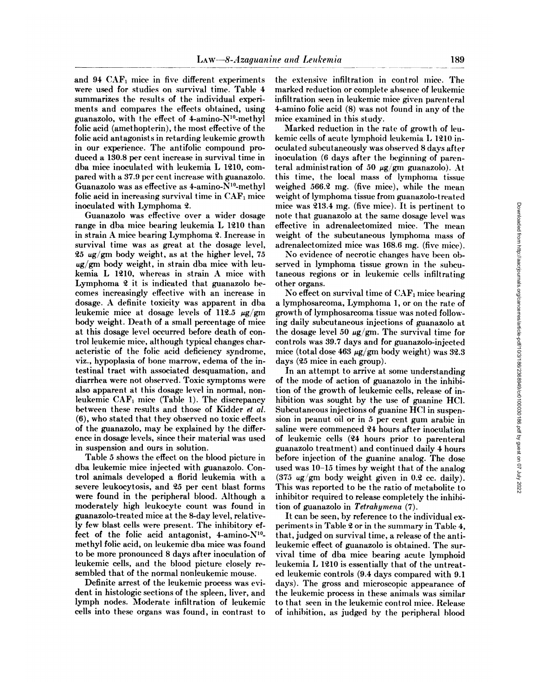and 94 CAFi mice in five different experiments were used for studies on survival time. Table 4 summarizes the results of the individual experi ments and compares the effects obtained, using guanazolo, with the effect of 4-amino-N10-methyl folie acid (amethopterin), the most effective of the folie acid antagonists in retarding leukemic growth in our experience. The antifolic compound pro duced a 130.8 per cent increase in survival time in dba mice inoculated with leukemia L 1210, compared with a 37.9 per cent increase with guanazolo. Guanazolo was as effective as  $4$ -amino- $N^{10}$ -methyl folic acid in increasing survival time in  $CAF<sub>1</sub>$  mice inoculated with Lymphoma 2.

**Guanazolo was effective over a wider dosage** range in dba mice bearing leukemia L 1210 than in strain A mice bearing Lymphoma 2.Increase in survival time was as great at the dosage level,  $25 \text{ ug/gm}$  body weight, as at the higher level, 75  $\mu$ g/gm body weight, in strain dba mice with leukemia L 1210, whereas in strain A mice with Lymphoma 2 it is indicated that guanazolo be comes increasingly effective with an increase in dosage. A definite toxicity was apparent in dba leukemic mice at dosage levels of 112.5  $\mu$ g/gm body weight. Death of a small percentage of mice at this dosage level occurred before death of con trol leukemic mice, although typical changes char acteristic of the folie acid deficiency syndrome, viz., hypoplasia of bone marrow, edema of the in testinal tract with associated desquamation, and diarrhea were not observed. Toxic symptoms were also apparent at this dosage level in normal, nonleukemic  $CAF_1$  mice (Table 1). The discrepancy between these results and those of Kidder et al. (6), who stated that they observed no toxic effects of the guanazolo, may be explained by the differ ence in dosage levels, since their material was used in suspension and ours in solution.

Table 5 shows the effect on the blood picture in dba leukemic mice injected with guanazolo. Con trol animals developed a florid leukemia with a severe leukocytosis, and 25 per cent blast forms were found in the peripheral blood. Although a moderately high leukocyte count was found in guanazolo-treated mice at the 8-day level, relative ly few blast cells were present. The inhibitory ef fect of the folie acid antagonist, 4-amino-N10 methyl folie acid, on leukemic dba mice was found to be more pronounced 8 days after inoculation of leukemic cells, and the blood picture closely re sembled that of the normal nonleukemic mouse.

Definite arrest of the leukemic process was evi dent in histologie sections of the spleen, liver, and lymph nodes. Moderate infiltration of leukemic cells into these organs was found, in contrast to the extensive infiltration in control mice. The marked reduction or complete absence of leukemic infiltration seen in leukemic mice given parenteral 4-amino folic acid  $(8)$  was not found in any of the mice examined in this study.

Marked reduction in the rate of growth of leu kemic cells of acute lymphoid leukemia I, 1210 in oculated subcutaneously was observed 8 days after inoculation (6 days after the beginning of parenteral administration of 50  $\mu$ g/gm guanazolo). At this time, the local mass of lymphoma tissue weighed  $566.2$  mg. (five mice), while the mean weight of lymphoma tissue from guanazolo-treated mice was 213.4 mg.(five mice). It is pertinent to note that guanazolo at the same dosage level was effective in adrenalectomized mice. The mean weight of the subcutaneous lymphoma mass of adrenalectomized mice was 168.6 mg. (five mice).

No evidence of necrotic changes have been ob served in lymphoma tissue grown in the subcu taneous regions or in leukemic cells infiltrating other organs.

No effect on survival time of  $CAF_1$  mice bearing a lymphosarcoma, Lymphoma 1, or on the rate of growth of lymphosarcoma tissue was noted following daily subcutaneous injections of guanazolo at the dosage level 50  $\mu$ g/gm. The survival time for controls was 39.7 days and for guanazolo-injected mice (total dose 463  $\mu$ g/gm body weight) was 32.3 days (25 mice in each group).

In an attempt to arrive at some understanding of the mode of action of guanazolo in the inhibi tion of the growth of leukemic cells, release of inhibition was sought by the use of guanine HC1. Subcutaneous injections of guanine HC1 in suspen sion in peanut oil or in 5 per cent gum arabic in saline were commenced 24 hours after inoculation of leukemic cells (24 hours prior to parenteral guanazolo treatment) and continued daily 4 hours before injection of the guanine analog. The dose used was 10-15 times by weight that of the analog (375 ug/gm body weight given in 0.2 cc. daily). This was reported to be the ratio of metabolite to inhibitor required to release completely the inhibi tion of guanazolo in Tetrahymena  $(7)$ .

It can be seen, by reference to the individual ex periments in Table 2 or in the summary in Table 4, that, judged on survival time, a release of the antileukemic effect of guanazolo is obtained. The sur vival time of dba mice bearing acute lymphoid leukemia L 1210 is essentially that of the untreated leukemic controls (9.4 days compared with 9.1 days). The gross and microscopic appearance of the leukemic process in these animals was similar to that seen in the leukemic control mice. Release of inhibition, as judged by the peripheral blood